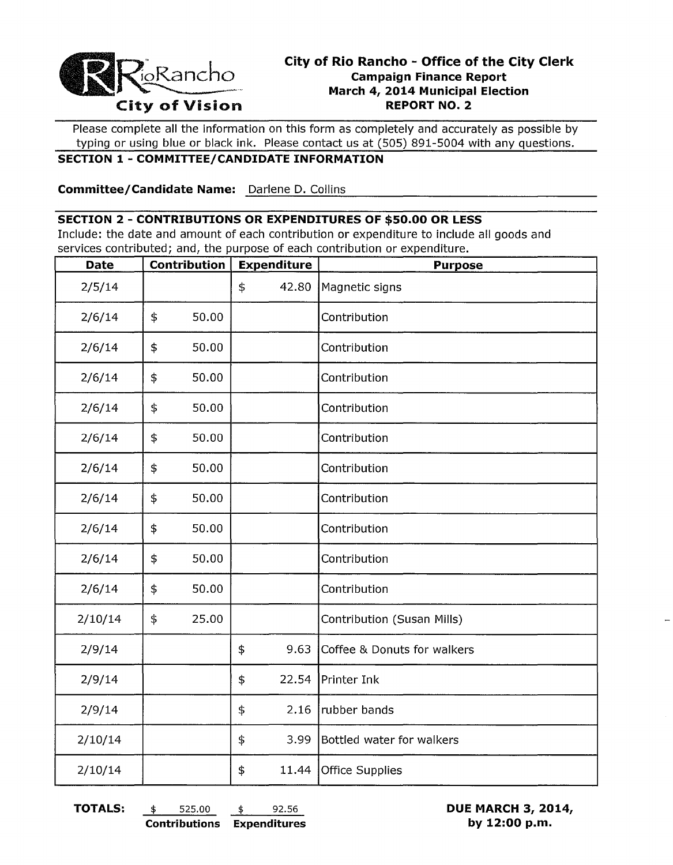

# **City of Rio Rancho - Office of the City Clerk Campaign Finance Report March 4, 2014 Municipal Election City of Vision REPORT NO. 2**

Please complete all the information on this form as completely and accurately as possible by typing or using blue or black ink. Please contact us at (505) 891-5004 with any questions.

## **SECTION 1 - COMMITTEE/CANDIDATE INFORMATION**

**Committee/Candidate Name:** Darlene D. Collins **Committee/Candidate Name:** 2011

#### **SECTION 2 - CONTRIBUTIONS OR EXPENDITURES OF \$50.00 OR LESS**

Include: the date and amount of each contribution or expenditure to include all goods and services contributed; and, the purpose of each contribution or expenditure.

| <b>Date</b> |            | Contribution | <b>Expenditure</b> | <b>Purpose</b>              |
|-------------|------------|--------------|--------------------|-----------------------------|
| 2/5/14      |            |              | \$<br>42.80        | Magnetic signs              |
| 2/6/14      | \$         | 50.00        |                    | Contribution                |
| 2/6/14      | \$         | 50.00        |                    | Contribution                |
| 2/6/14      | \$         | 50.00        |                    | Contribution                |
| 2/6/14      | \$         | 50.00        |                    | Contribution                |
| 2/6/14      | $\ddagger$ | 50.00        |                    | Contribution                |
| 2/6/14      | \$         | 50.00        |                    | Contribution                |
| 2/6/14      | \$         | 50.00        |                    | Contribution                |
| 2/6/14      | \$         | 50.00        |                    | Contribution                |
| 2/6/14      | \$         | 50.00        |                    | Contribution                |
| 2/6/14      | \$         | 50.00        |                    | Contribution                |
| 2/10/14     | \$         | 25.00        |                    | Contribution (Susan Mills)  |
| 2/9/14      |            |              | \$<br>9.63         | Coffee & Donuts for walkers |
| 2/9/14      |            |              | \$<br>22.54        | Printer Ink                 |
| 2/9/14      |            |              | \$<br>2.16         | rubber bands                |
| 2/10/14     |            |              | \$<br>3.99         | Bottled water for walkers   |
| 2/10/14     |            |              | \$<br>11.44        | Office Supplies             |

**TOTALS:** \$ 525.00 \$ 92.56 **DUE MARCH 3, 2014, Contributions Expenditures by 12:00 p.m.**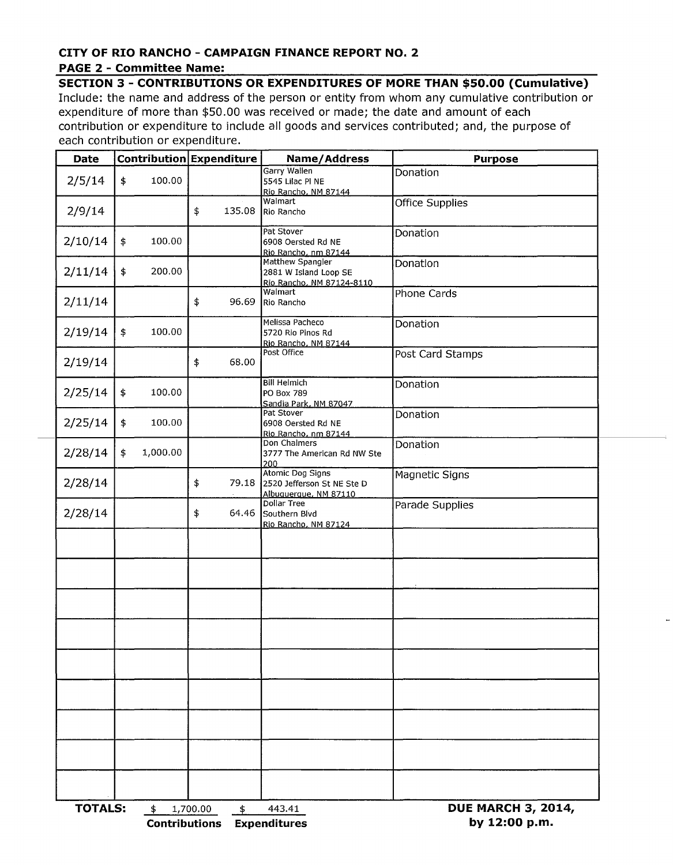#### **CITY OF RIO RANCHO - CAMPAIGN FINANCE REPORT NO.2 PAGE 2 - Committee Name:**

## **SECTION 3 - CONTRIBUTIONS OR EXPENDITURES OF MORE THAN \$50.00 (Cumulative)**

Include: the name and address of the person or entity from whom any cumulative contribution or expenditure of more than \$50.00 was received or made; the date and amount of each contribution or expenditure to include all goods and services contributed; and, the purpose of each contribution or expenditure.

|                                 | Contribution Expenditure | Name/Address                                                            | <b>Purpose</b>   |  |
|---------------------------------|--------------------------|-------------------------------------------------------------------------|------------------|--|
| 2/5/14<br>100.00<br>\$          |                          | Garry Wallen<br>5545 Lilac Pl NE<br>Rio Rancho, NM 87144                | Donation         |  |
| 2/9/14                          | \$<br>135.08             | Walmart<br>Rio Rancho                                                   | Office Supplies  |  |
| 2/10/14<br>100.00<br>\$         |                          | Pat Stover<br>6908 Oersted Rd NE<br>Rio Rancho, nm 87144                | Donation         |  |
| 2/11/14<br>200.00<br>$\ddagger$ |                          | Matthew Spangler<br>2881 W Island Loop SE<br>Rio Rancho, NM 87124-8110  | Donation         |  |
| 2/11/14                         | \$<br>96.69              | Walmart<br>Rio Rancho                                                   | Phone Cards      |  |
| 2/19/14<br>100.00<br>\$         |                          | Melissa Pacheco<br>5720 Rio Pinos Rd<br>Rio Rancho, NM 87144            | Donation         |  |
| 2/19/14                         | \$<br>68.00              | Post Office                                                             | Post Card Stamps |  |
| 2/25/14<br>100.00<br>\$         |                          | <b>Bill Helmich</b><br>PO Box 789<br>Sandia Park, NM 87047              | Donation         |  |
| 2/25/14<br>\$<br>100.00         |                          | Pat Stover<br>6908 Oersted Rd NE<br>Rio Rancho, nm 87144                | Donation         |  |
| 2/28/14<br>1,000.00<br>\$       |                          | Don Chalmers<br>3777 The American Rd NW Ste<br>200                      | Donation         |  |
| 2/28/14                         | \$<br>79.18              | Atomic Dog Signs<br>2520 Jefferson St NE Ste D<br>Albuquerque, NM 87110 | Magnetic Signs   |  |
| 2/28/14                         | \$<br>64.46              | Dollar Tree<br>Southern Blvd<br>Rio Rancho, NM 87124                    | Parade Supplies  |  |
|                                 |                          |                                                                         |                  |  |
|                                 |                          |                                                                         |                  |  |
|                                 |                          |                                                                         |                  |  |
|                                 |                          |                                                                         |                  |  |
|                                 |                          |                                                                         |                  |  |
|                                 |                          |                                                                         |                  |  |
|                                 |                          |                                                                         |                  |  |
|                                 |                          |                                                                         |                  |  |
|                                 |                          |                                                                         |                  |  |
|                                 |                          |                                                                         |                  |  |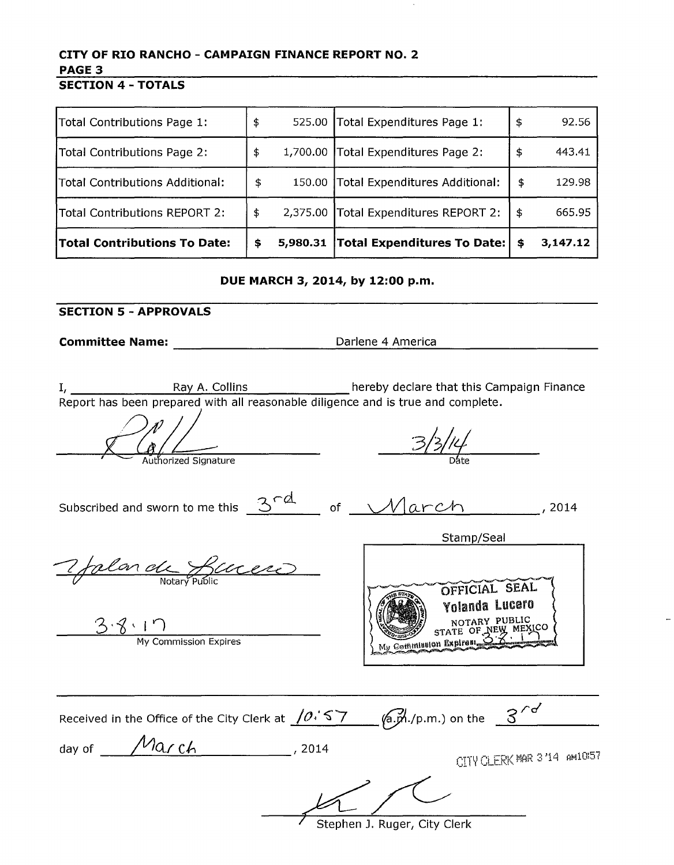# **CITY OF RIO RANCHO - CAMPAIGN FINANCE REPORT NO.2**  PAGE 3

**SECTION 4 - TOTALS** 

| Total Contributions Page 1:         | \$<br>525.00   | Total Expenditures Page 1:         | $\frac{1}{2}$ | 92.56    |
|-------------------------------------|----------------|------------------------------------|---------------|----------|
| Total Contributions Page 2:         | \$<br>1,700.00 | Total Expenditures Page 2:         | -5            | 443.41   |
| Total Contributions Additional:     | \$<br>150.00   | Total Expenditures Additional:     | \$            | 129.98   |
| Total Contributions REPORT 2:       | \$<br>2,375.00 | Total Expenditures REPORT 2:       | -\$           | 665.95   |
| <b>Total Contributions To Date:</b> | \$<br>5,980.31 | <b>Total Expenditures To Date:</b> | \$            | 3,147.12 |

**DUE MARCH 3, 2014, by 12:00 p.m.** 

# **SECTION 5 - APPROVALS**

**Committee Name: Committee Name: Darlene 4 America** 

I, 1. All Ray A. Collins **Colling Life A.** Collins **hereby declare that this Campaign Finance** Report has been prepared with all reasonable diligence and is true and complete.

<sup>F</sup>'""'---- Aut orized Signature D te

Subscribed and sworn to me this  $\frac{3^{rd}}{d}$  of  $\frac{\sqrt{arch}}{arch}$ , 2014

Stamp/Seal

7 falon de Ruces

 $\frac{3 \cdot 8 \cdot 1 \cdot 7}{My \text{ Commission Express}}$ 



| Received in the Office of the City Clerk at $(0.57 - 6.7)$ (a.m.) on the $3^{\prime\circ}$ |        |                             |  |
|--------------------------------------------------------------------------------------------|--------|-----------------------------|--|
| $M$ arch<br>day of                                                                         | , 2014 | CITY CLERK MAR 3 '14 AM1057 |  |
|                                                                                            |        |                             |  |

Stephen J. Ruger, City Clerk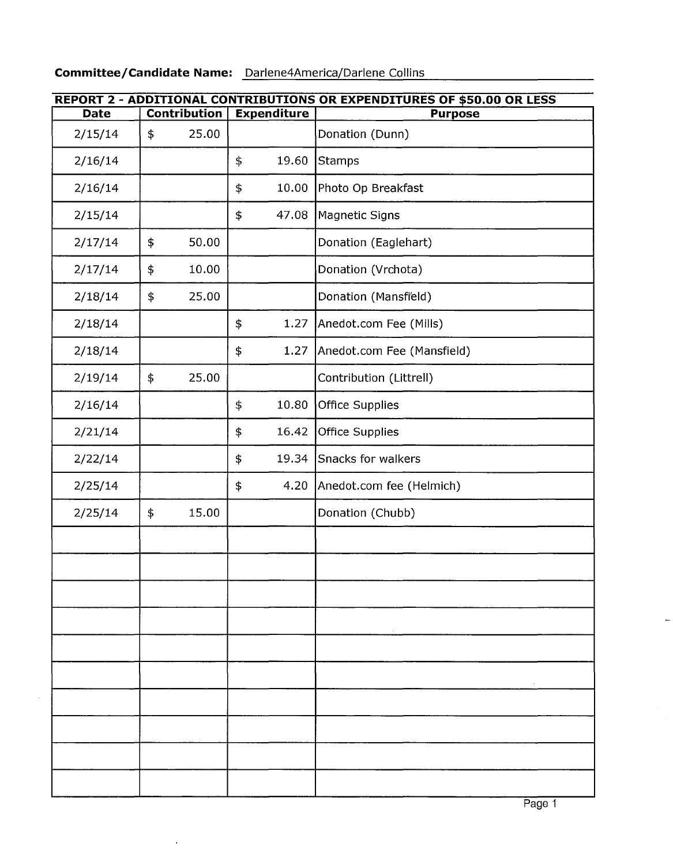$\bar{\gamma}$ 

 $\epsilon$ 

| REPORT 2 - ADDITIONAL CONTRIBUTIONS OR EXPENDITURES OF \$50.00 OR LESS |    |                     |                                   |                    |                            |
|------------------------------------------------------------------------|----|---------------------|-----------------------------------|--------------------|----------------------------|
| <b>Date</b>                                                            |    | <b>Contribution</b> |                                   | <b>Expenditure</b> | <b>Purpose</b>             |
| 2/15/14                                                                | \$ | 25.00               |                                   |                    | Donation (Dunn)            |
| 2/16/14                                                                |    |                     | \$                                | 19.60              | <b>Stamps</b>              |
| 2/16/14                                                                |    |                     | \$                                | 10.00              | Photo Op Breakfast         |
| 2/15/14                                                                |    |                     | \$                                | 47.08              | Magnetic Signs             |
| 2/17/14                                                                | \$ | 50.00               |                                   |                    | Donation (Eaglehart)       |
| 2/17/14                                                                | \$ | 10.00               |                                   |                    | Donation (Vrchota)         |
| 2/18/14                                                                | \$ | 25.00               |                                   |                    | Donation (Mansfi'eld)      |
| 2/18/14                                                                |    |                     | \$                                | 1.27               | Anedot.com Fee (Mills)     |
| 2/18/14                                                                |    |                     | \$                                | 1.27               | Anedot.com Fee (Mansfield) |
| 2/19/14                                                                | \$ | 25.00               |                                   |                    | Contribution (Littrell)    |
| 2/16/14                                                                |    |                     | \$                                | 10.80              | Office Supplies            |
| 2/21/14                                                                |    |                     | \$                                | 16.42              | <b>Office Supplies</b>     |
| 2/22/14                                                                |    |                     | \$<br>Snacks for walkers<br>19.34 |                    |                            |
| 2/25/14                                                                |    |                     | \$                                | 4.20               | Anedot.com fee (Helmich)   |
| 2/25/14                                                                | \$ | 15.00               |                                   |                    | Donation (Chubb)           |
|                                                                        |    |                     |                                   |                    |                            |
|                                                                        |    |                     |                                   |                    |                            |
|                                                                        |    |                     |                                   |                    |                            |
|                                                                        |    |                     |                                   |                    |                            |
|                                                                        |    |                     |                                   |                    |                            |
|                                                                        |    |                     |                                   |                    |                            |
|                                                                        |    |                     |                                   |                    |                            |
|                                                                        |    |                     |                                   |                    |                            |
|                                                                        |    |                     |                                   |                    |                            |
|                                                                        |    |                     |                                   |                    |                            |

 $\overline{a}$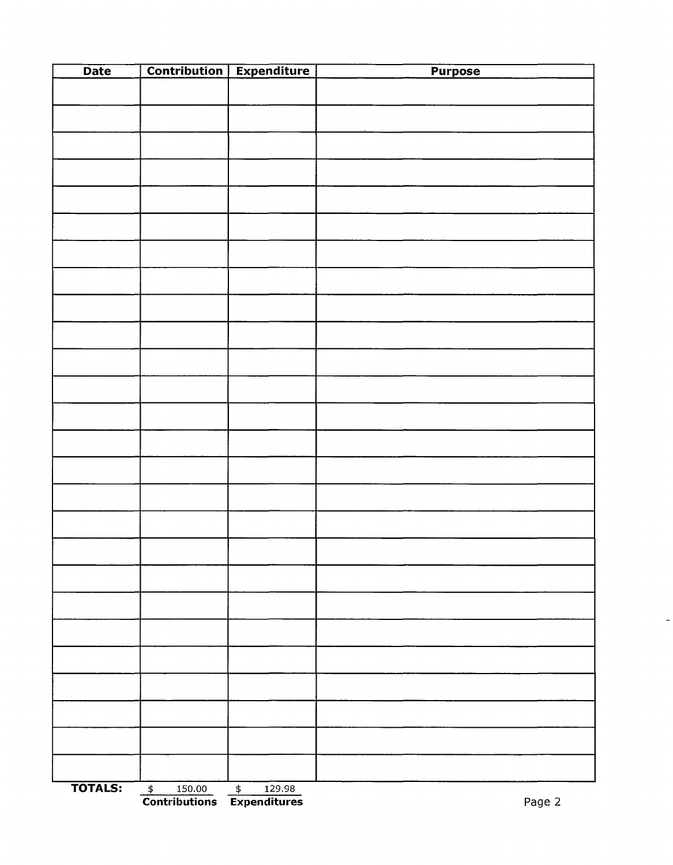| <b>Date</b>    | <b>Contribution</b>     | <b>Expenditure</b>      | <b>Purpose</b> |
|----------------|-------------------------|-------------------------|----------------|
|                |                         |                         |                |
|                |                         |                         |                |
|                |                         |                         |                |
|                |                         |                         |                |
|                |                         |                         |                |
|                |                         |                         |                |
|                |                         |                         |                |
|                |                         |                         |                |
|                |                         |                         |                |
|                |                         |                         |                |
|                |                         |                         |                |
|                |                         |                         |                |
|                |                         |                         |                |
|                |                         |                         |                |
|                |                         |                         |                |
|                |                         |                         |                |
|                |                         |                         |                |
|                |                         |                         |                |
|                |                         |                         |                |
|                |                         |                         |                |
|                |                         |                         |                |
|                |                         |                         |                |
|                |                         |                         |                |
|                |                         |                         |                |
|                |                         |                         |                |
|                |                         |                         |                |
|                |                         |                         |                |
|                |                         |                         |                |
|                |                         |                         |                |
|                |                         |                         |                |
|                |                         |                         |                |
|                |                         |                         |                |
|                |                         |                         |                |
|                |                         |                         |                |
|                |                         |                         |                |
|                |                         |                         |                |
|                |                         |                         |                |
|                |                         |                         |                |
|                |                         |                         |                |
| <b>TOTALS:</b> | $\frac{1}{2}$<br>150.00 | 129.98<br>$\frac{1}{2}$ |                |

 $\ddot{\phantom{1}}$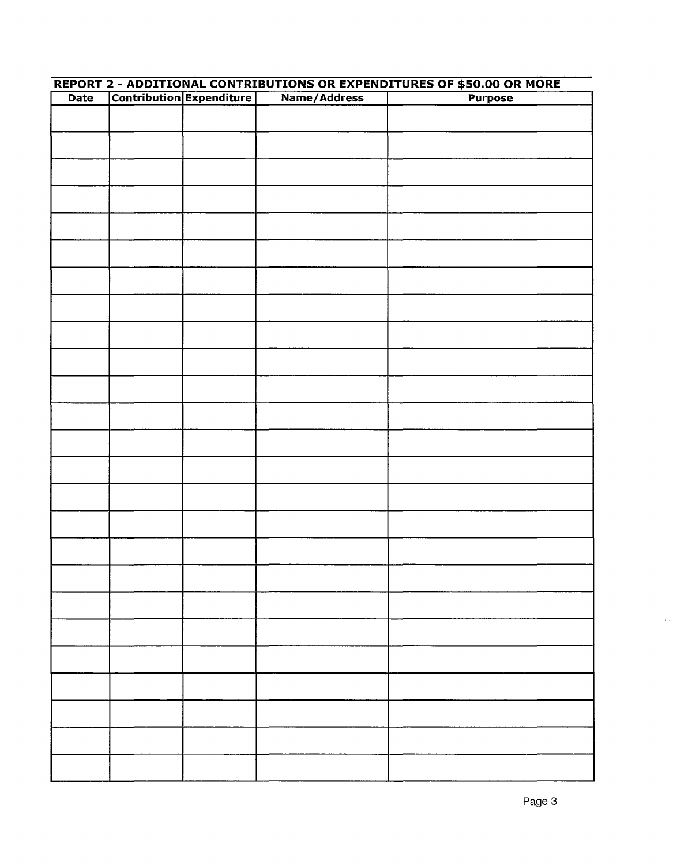| <b>Date</b> | <u> REPORT 2 - ADDITIONAL CONTRIBUTIONS OR EXPENDITURES OF \$50.00 OR MORE</u><br>Contribution Expenditure |  |              |                |  |  |
|-------------|------------------------------------------------------------------------------------------------------------|--|--------------|----------------|--|--|
|             |                                                                                                            |  | Name/Address | <b>Purpose</b> |  |  |
|             |                                                                                                            |  |              |                |  |  |
|             |                                                                                                            |  |              |                |  |  |
|             |                                                                                                            |  |              |                |  |  |
|             |                                                                                                            |  |              |                |  |  |
|             |                                                                                                            |  |              |                |  |  |
|             |                                                                                                            |  |              |                |  |  |
|             |                                                                                                            |  |              |                |  |  |
|             |                                                                                                            |  |              |                |  |  |
|             |                                                                                                            |  |              |                |  |  |
|             |                                                                                                            |  |              |                |  |  |
|             |                                                                                                            |  |              |                |  |  |
|             |                                                                                                            |  |              |                |  |  |
|             |                                                                                                            |  |              |                |  |  |
|             |                                                                                                            |  |              |                |  |  |
|             |                                                                                                            |  |              |                |  |  |
|             |                                                                                                            |  |              |                |  |  |
|             |                                                                                                            |  |              |                |  |  |
|             |                                                                                                            |  |              |                |  |  |
|             |                                                                                                            |  |              |                |  |  |
|             |                                                                                                            |  |              |                |  |  |
|             |                                                                                                            |  |              |                |  |  |
|             |                                                                                                            |  |              |                |  |  |
|             |                                                                                                            |  |              |                |  |  |
|             |                                                                                                            |  |              |                |  |  |
|             |                                                                                                            |  |              |                |  |  |
|             |                                                                                                            |  |              |                |  |  |
|             |                                                                                                            |  |              |                |  |  |
|             |                                                                                                            |  |              |                |  |  |
|             |                                                                                                            |  |              |                |  |  |
|             |                                                                                                            |  |              |                |  |  |
|             |                                                                                                            |  |              |                |  |  |
|             |                                                                                                            |  |              |                |  |  |
|             |                                                                                                            |  |              |                |  |  |
|             |                                                                                                            |  |              |                |  |  |
|             |                                                                                                            |  |              |                |  |  |
|             |                                                                                                            |  |              |                |  |  |
|             |                                                                                                            |  |              |                |  |  |
|             |                                                                                                            |  |              |                |  |  |
|             |                                                                                                            |  |              |                |  |  |
|             |                                                                                                            |  |              |                |  |  |